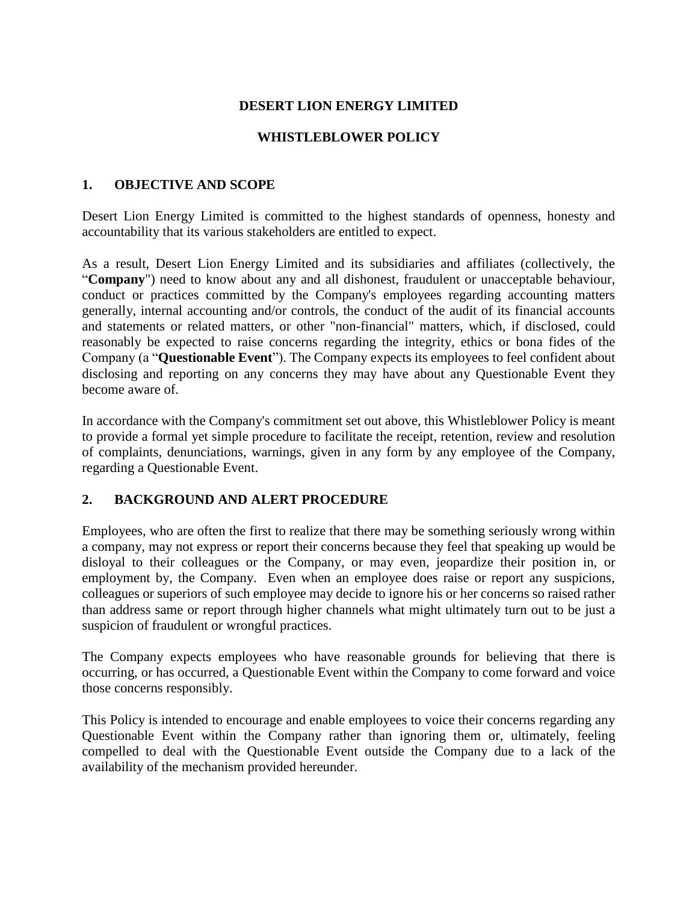## **DESERT LION ENERGY LIMITED**

## **WHISTLEBLOWER POLICY**

### **1. OBJECTIVE AND SCOPE**

Desert Lion Energy Limited is committed to the highest standards of openness, honesty and accountability that its various stakeholders are entitled to expect.

As a result, Desert Lion Energy Limited and its subsidiaries and affiliates (collectively, the "**Company**") need to know about any and all dishonest, fraudulent or unacceptable behaviour, conduct or practices committed by the Company's employees regarding accounting matters generally, internal accounting and/or controls, the conduct of the audit of its financial accounts and statements or related matters, or other "non-financial" matters, which, if disclosed, could reasonably be expected to raise concerns regarding the integrity, ethics or bona fides of the Company (a "**Questionable Event**"). The Company expects its employees to feel confident about disclosing and reporting on any concerns they may have about any Questionable Event they become aware of.

In accordance with the Company's commitment set out above, this Whistleblower Policy is meant to provide a formal yet simple procedure to facilitate the receipt, retention, review and resolution of complaints, denunciations, warnings, given in any form by any employee of the Company, regarding a Questionable Event.

## **2. BACKGROUND AND ALERT PROCEDURE**

Employees, who are often the first to realize that there may be something seriously wrong within a company, may not express or report their concerns because they feel that speaking up would be disloyal to their colleagues or the Company, or may even, jeopardize their position in, or employment by, the Company. Even when an employee does raise or report any suspicions, colleagues or superiors of such employee may decide to ignore his or her concerns so raised rather than address same or report through higher channels what might ultimately turn out to be just a suspicion of fraudulent or wrongful practices.

The Company expects employees who have reasonable grounds for believing that there is occurring, or has occurred, a Questionable Event within the Company to come forward and voice those concerns responsibly.

This Policy is intended to encourage and enable employees to voice their concerns regarding any Questionable Event within the Company rather than ignoring them or, ultimately, feeling compelled to deal with the Questionable Event outside the Company due to a lack of the availability of the mechanism provided hereunder.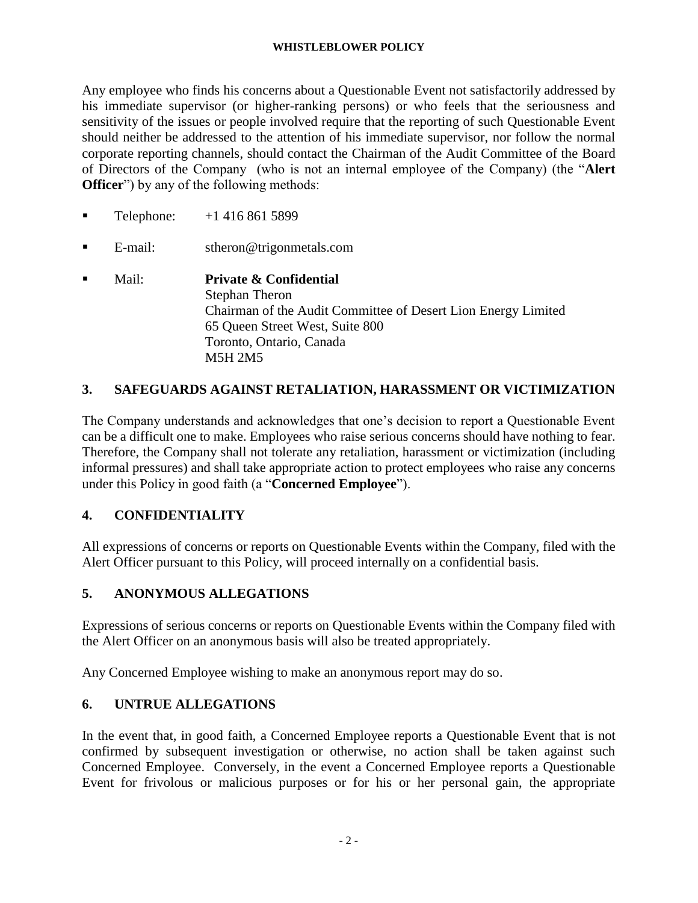#### **WHISTLEBLOWER POLICY**

Any employee who finds his concerns about a Questionable Event not satisfactorily addressed by his immediate supervisor (or higher-ranking persons) or who feels that the seriousness and sensitivity of the issues or people involved require that the reporting of such Questionable Event should neither be addressed to the attention of his immediate supervisor, nor follow the normal corporate reporting channels, should contact the Chairman of the Audit Committee of the Board of Directors of the Company (who is not an internal employee of the Company) (the "**Alert Officer**") by any of the following methods:

- **•** Telephone:  $+1,416,861,5899$
- E-mail: stheron@trigonmetals.com
- Mail: **Private & Confidential** Stephan Theron Chairman of the Audit Committee of Desert Lion Energy Limited 65 Queen Street West, Suite 800 Toronto, Ontario, Canada M5H 2M5

## **3. SAFEGUARDS AGAINST RETALIATION, HARASSMENT OR VICTIMIZATION**

The Company understands and acknowledges that one's decision to report a Questionable Event can be a difficult one to make. Employees who raise serious concerns should have nothing to fear. Therefore, the Company shall not tolerate any retaliation, harassment or victimization (including informal pressures) and shall take appropriate action to protect employees who raise any concerns under this Policy in good faith (a "**Concerned Employee**").

### **4. CONFIDENTIALITY**

All expressions of concerns or reports on Questionable Events within the Company, filed with the Alert Officer pursuant to this Policy, will proceed internally on a confidential basis.

### **5. ANONYMOUS ALLEGATIONS**

Expressions of serious concerns or reports on Questionable Events within the Company filed with the Alert Officer on an anonymous basis will also be treated appropriately.

Any Concerned Employee wishing to make an anonymous report may do so.

### **6. UNTRUE ALLEGATIONS**

In the event that, in good faith, a Concerned Employee reports a Questionable Event that is not confirmed by subsequent investigation or otherwise, no action shall be taken against such Concerned Employee. Conversely, in the event a Concerned Employee reports a Questionable Event for frivolous or malicious purposes or for his or her personal gain, the appropriate